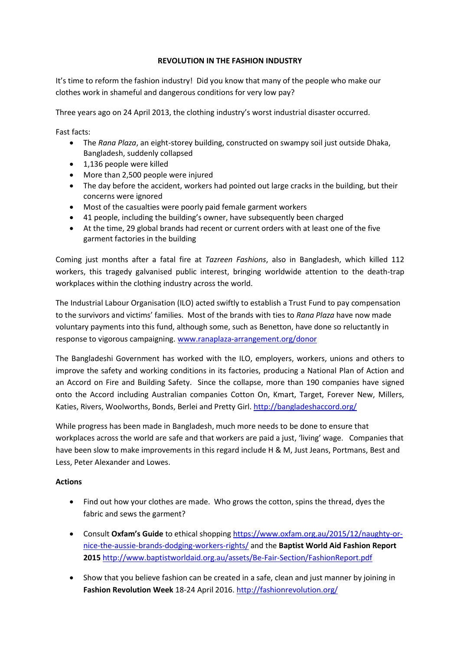## **REVOLUTION IN THE FASHION INDUSTRY**

It's time to reform the fashion industry! Did you know that many of the people who make our clothes work in shameful and dangerous conditions for very low pay?

Three years ago on 24 April 2013, the clothing industry's worst industrial disaster occurred.

Fast facts:

- The *Rana Plaza*, an eight-storey building, constructed on swampy soil just outside Dhaka, Bangladesh, suddenly collapsed
- 1,136 people were killed
- More than 2,500 people were injured
- The day before the accident, workers had pointed out large cracks in the building, but their concerns were ignored
- Most of the casualties were poorly paid female garment workers
- 41 people, including the building's owner, have subsequently been charged
- At the time, 29 global brands had recent or current orders with at least one of the five garment factories in the building

Coming just months after a fatal fire at *Tazreen Fashions*, also in Bangladesh, which killed 112 workers, this tragedy galvanised public interest, bringing worldwide attention to the death-trap workplaces within the clothing industry across the world.

The Industrial Labour Organisation (ILO) acted swiftly to establish a Trust Fund to pay compensation to the survivors and victims' families. Most of the brands with ties to *Rana Plaza* have now made voluntary payments into this fund, although some, such as Benetton, have done so reluctantly in response to vigorous campaigning. [www.ranaplaza-arrangement.org/donor](http://www.ranaplaza-arrangement.org/donor)

The Bangladeshi Government has worked with the ILO, employers, workers, unions and others to improve the safety and working conditions in its factories, producing a National Plan of Action and an Accord on Fire and Building Safety. Since the collapse, more than 190 companies have signed onto the Accord including Australian companies Cotton On, Kmart, Target, Forever New, Millers, Katies, Rivers, Woolworths, Bonds, Berlei and Pretty Girl.<http://bangladeshaccord.org/>

While progress has been made in Bangladesh, much more needs to be done to ensure that workplaces across the world are safe and that workers are paid a just, 'living' wage. Companies that have been slow to make improvements in this regard include H & M, Just Jeans, Portmans, Best and Less, Peter Alexander and Lowes.

## **Actions**

- Find out how your clothes are made. Who grows the cotton, spins the thread, dyes the fabric and sews the garment?
- Consult **Oxfam's Guide** to ethical shopping [https://www.oxfam.org.au/2015/12/naughty-or](https://www.oxfam.org.au/2015/12/naughty-or-nice-the-aussie-brands-dodging-workers-rights/)[nice-the-aussie-brands-dodging-workers-rights/](https://www.oxfam.org.au/2015/12/naughty-or-nice-the-aussie-brands-dodging-workers-rights/) and the **Baptist World Aid Fashion Report 2015** <http://www.baptistworldaid.org.au/assets/Be-Fair-Section/FashionReport.pdf>
- Show that you believe fashion can be created in a safe, clean and just manner by joining in **Fashion Revolution Week** 18-24 April 2016.<http://fashionrevolution.org/>